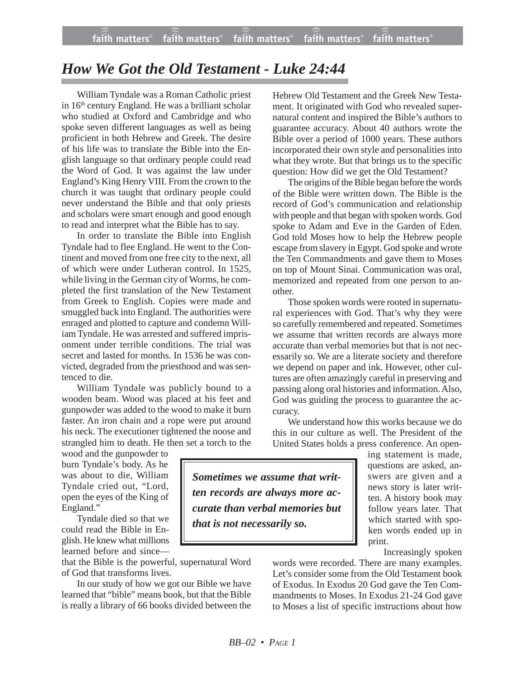## *How We Got the Old Testament - Luke 24:44*

William Tyndale was a Roman Catholic priest in 16<sup>th</sup> century England. He was a brilliant scholar who studied at Oxford and Cambridge and who spoke seven different languages as well as being proficient in both Hebrew and Greek. The desire of his life was to translate the Bible into the English language so that ordinary people could read the Word of God. It was against the law under England's King Henry VIII. From the crown to the church it was taught that ordinary people could never understand the Bible and that only priests and scholars were smart enough and good enough to read and interpret what the Bible has to say.

In order to translate the Bible into English Tyndale had to flee England. He went to the Continent and moved from one free city to the next, all of which were under Lutheran control. In 1525, while living in the German city of Worms, he completed the first translation of the New Testament from Greek to English. Copies were made and smuggled back into England. The authorities were enraged and plotted to capture and condemn William Tyndale. He was arrested and suffered imprisonment under terrible conditions. The trial was secret and lasted for months. In 1536 he was convicted, degraded from the priesthood and was sentenced to die.

William Tyndale was publicly bound to a wooden beam. Wood was placed at his feet and gunpowder was added to the wood to make it burn faster. An iron chain and a rope were put around his neck. The executioner tightened the noose and strangled him to death. He then set a torch to the

wood and the gunpowder to burn Tyndale's body. As he was about to die, William Tyndale cried out, "Lord, open the eyes of the King of England."

Tyndale died so that we could read the Bible in English. He knew what millions learned before and since—

that the Bible is the powerful, supernatural Word of God that transforms lives.

In our study of how we got our Bible we have learned that "bible" means book, but that the Bible is really a library of 66 books divided between the Hebrew Old Testament and the Greek New Testament. It originated with God who revealed supernatural content and inspired the Bible's authors to guarantee accuracy. About 40 authors wrote the Bible over a period of 1000 years. These authors incorporated their own style and personalities into what they wrote. But that brings us to the specific question: How did we get the Old Testament?

The origins of the Bible began before the words of the Bible were written down. The Bible is the record of God's communication and relationship with people and that began with spoken words. God spoke to Adam and Eve in the Garden of Eden. God told Moses how to help the Hebrew people escape from slavery in Egypt. God spoke and wrote the Ten Commandments and gave them to Moses on top of Mount Sinai. Communication was oral, memorized and repeated from one person to another.

Those spoken words were rooted in supernatural experiences with God. That's why they were so carefully remembered and repeated. Sometimes we assume that written records are always more accurate than verbal memories but that is not necessarily so. We are a literate society and therefore we depend on paper and ink. However, other cultures are often amazingly careful in preserving and passing along oral histories and information. Also, God was guiding the process to guarantee the accuracy.

We understand how this works because we do this in our culture as well. The President of the United States holds a press conference. An open-

> ing statement is made, questions are asked, answers are given and a news story is later written. A history book may follow years later. That which started with spoken words ended up in print.

> > Increasingly spoken

words were recorded. There are many examples. Let's consider some from the Old Testament book of Exodus. In Exodus 20 God gave the Ten Commandments to Moses. In Exodus 21-24 God gave to Moses a list of specific instructions about how

*Sometimes we assume that written records are always more accurate than verbal memories but that is not necessarily so.*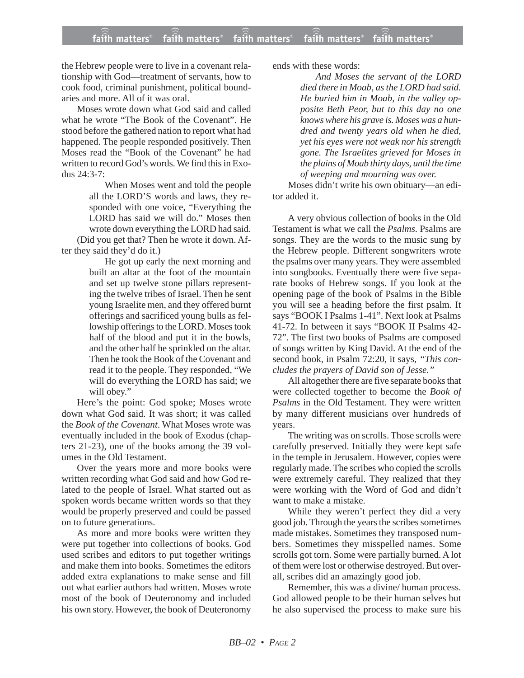the Hebrew people were to live in a covenant relationship with God—treatment of servants, how to cook food, criminal punishment, political boundaries and more. All of it was oral.

Moses wrote down what God said and called what he wrote "The Book of the Covenant". He stood before the gathered nation to report what had happened. The people responded positively. Then Moses read the "Book of the Covenant" he had written to record God's words. We find this in Exodus 24:3-7:

> When Moses went and told the people all the LORD'S words and laws, they responded with one voice, "Everything the LORD has said we will do." Moses then wrote down everything the LORD had said.

(Did you get that? Then he wrote it down. After they said they'd do it.)

> He got up early the next morning and built an altar at the foot of the mountain and set up twelve stone pillars representing the twelve tribes of Israel. Then he sent young Israelite men, and they offered burnt offerings and sacrificed young bulls as fellowship offerings to the LORD. Moses took half of the blood and put it in the bowls, and the other half he sprinkled on the altar. Then he took the Book of the Covenant and read it to the people. They responded, "We will do everything the LORD has said; we will obey."

Here's the point: God spoke; Moses wrote down what God said. It was short; it was called the *Book of the Covenant*. What Moses wrote was eventually included in the book of Exodus (chapters 21-23), one of the books among the 39 volumes in the Old Testament.

Over the years more and more books were written recording what God said and how God related to the people of Israel. What started out as spoken words became written words so that they would be properly preserved and could be passed on to future generations.

As more and more books were written they were put together into collections of books. God used scribes and editors to put together writings and make them into books. Sometimes the editors added extra explanations to make sense and fill out what earlier authors had written. Moses wrote most of the book of Deuteronomy and included his own story. However, the book of Deuteronomy ends with these words:

*And Moses the servant of the LORD died there in Moab, as the LORD had said. He buried him in Moab, in the valley opposite Beth Peor, but to this day no one knows where his grave is. Moses was a hundred and twenty years old when he died, yet his eyes were not weak nor his strength gone. The Israelites grieved for Moses in the plains of Moab thirty days, until the time of weeping and mourning was over.*

Moses didn't write his own obituary—an editor added it.

A very obvious collection of books in the Old Testament is what we call the *Psalms*. Psalms are songs. They are the words to the music sung by the Hebrew people. Different songwriters wrote the psalms over many years. They were assembled into songbooks. Eventually there were five separate books of Hebrew songs. If you look at the opening page of the book of Psalms in the Bible you will see a heading before the first psalm. It says "BOOK I Psalms 1-41". Next look at Psalms 41-72. In between it says "BOOK II Psalms 42- 72". The first two books of Psalms are composed of songs written by King David. At the end of the second book, in Psalm 72:20, it says, *"This concludes the prayers of David son of Jesse."*

All altogether there are five separate books that were collected together to become the *Book of Psalms* in the Old Testament. They were written by many different musicians over hundreds of years.

The writing was on scrolls. Those scrolls were carefully preserved. Initially they were kept safe in the temple in Jerusalem. However, copies were regularly made. The scribes who copied the scrolls were extremely careful. They realized that they were working with the Word of God and didn't want to make a mistake.

While they weren't perfect they did a very good job. Through the years the scribes sometimes made mistakes. Sometimes they transposed numbers. Sometimes they misspelled names. Some scrolls got torn. Some were partially burned. A lot of them were lost or otherwise destroyed. But overall, scribes did an amazingly good job.

Remember, this was a divine/ human process. God allowed people to be their human selves but he also supervised the process to make sure his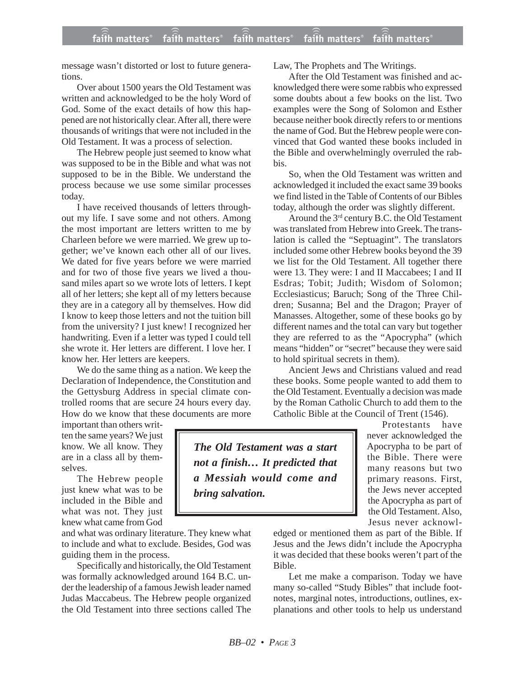message wasn't distorted or lost to future generations.

Over about 1500 years the Old Testament was written and acknowledged to be the holy Word of God. Some of the exact details of how this happened are not historically clear. After all, there were thousands of writings that were not included in the Old Testament. It was a process of selection.

The Hebrew people just seemed to know what was supposed to be in the Bible and what was not supposed to be in the Bible. We understand the process because we use some similar processes today.

I have received thousands of letters throughout my life. I save some and not others. Among the most important are letters written to me by Charleen before we were married. We grew up together; we've known each other all of our lives. We dated for five years before we were married and for two of those five years we lived a thousand miles apart so we wrote lots of letters. I kept all of her letters; she kept all of my letters because they are in a category all by themselves. How did I know to keep those letters and not the tuition bill from the university? I just knew! I recognized her handwriting. Even if a letter was typed I could tell she wrote it. Her letters are different. I love her. I know her. Her letters are keepers.

We do the same thing as a nation. We keep the Declaration of Independence, the Constitution and the Gettysburg Address in special climate controlled rooms that are secure 24 hours every day. How do we know that these documents are more

important than others written the same years? We just know. We all know. They are in a class all by themselves.

The Hebrew people just knew what was to be included in the Bible and what was not. They just knew what came from God

and what was ordinary literature. They knew what to include and what to exclude. Besides, God was guiding them in the process.

Specifically and historically, the Old Testament was formally acknowledged around 164 B.C. under the leadership of a famous Jewish leader named Judas Maccabeus. The Hebrew people organized the Old Testament into three sections called The Law, The Prophets and The Writings.

After the Old Testament was finished and acknowledged there were some rabbis who expressed some doubts about a few books on the list. Two examples were the Song of Solomon and Esther because neither book directly refers to or mentions the name of God. But the Hebrew people were convinced that God wanted these books included in the Bible and overwhelmingly overruled the rabbis.

So, when the Old Testament was written and acknowledged it included the exact same 39 books we find listed in the Table of Contents of our Bibles today, although the order was slightly different.

Around the 3rd century B.C. the Old Testament was translated from Hebrew into Greek. The translation is called the "Septuagint". The translators included some other Hebrew books beyond the 39 we list for the Old Testament. All together there were 13. They were: I and II Maccabees; I and II Esdras; Tobit; Judith; Wisdom of Solomon; Ecclesiasticus; Baruch; Song of the Three Children; Susanna; Bel and the Dragon; Prayer of Manasses. Altogether, some of these books go by different names and the total can vary but together they are referred to as the "Apocrypha" (which means "hidden" or "secret" because they were said to hold spiritual secrets in them).

Ancient Jews and Christians valued and read these books. Some people wanted to add them to the Old Testament. Eventually a decision was made by the Roman Catholic Church to add them to the Catholic Bible at the Council of Trent (1546).

> Protestants have never acknowledged the Apocrypha to be part of the Bible. There were many reasons but two primary reasons. First, the Jews never accepted the Apocrypha as part of the Old Testament. Also, Jesus never acknowl-

edged or mentioned them as part of the Bible. If Jesus and the Jews didn't include the Apocrypha it was decided that these books weren't part of the Bible.

Let me make a comparison. Today we have many so-called "Study Bibles" that include footnotes, marginal notes, introductions, outlines, explanations and other tools to help us understand

*The Old Testament was a start not a finish… It predicted that a Messiah would come and bring salvation.*